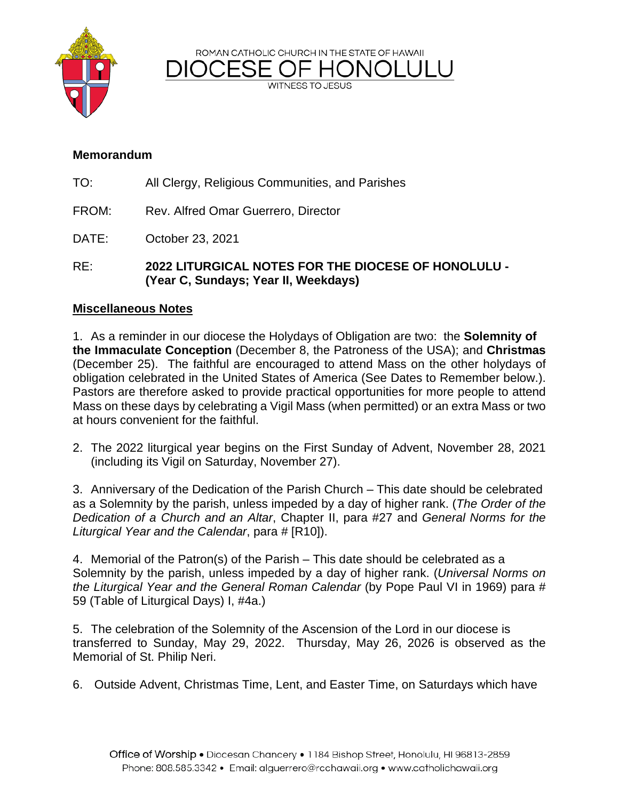ROMAN CATHOLIC CHURCH IN THE STATE OF HAWAII



**WITNESS TO JESUS** 

### **Memorandum**

- TO: All Clergy, Religious Communities, and Parishes
- FROM: Rev. Alfred Omar Guerrero, Director
- DATE: October 23, 2021
- RE: **2022 LITURGICAL NOTES FOR THE DIOCESE OF HONOLULU - (Year C, Sundays; Year II, Weekdays)**

### **Miscellaneous Notes**

1. As a reminder in our diocese the Holydays of Obligation are two: the **Solemnity of the Immaculate Conception** (December 8, the Patroness of the USA); and **Christmas** (December 25). The faithful are encouraged to attend Mass on the other holydays of obligation celebrated in the United States of America (See Dates to Remember below.). Pastors are therefore asked to provide practical opportunities for more people to attend Mass on these days by celebrating a Vigil Mass (when permitted) or an extra Mass or two at hours convenient for the faithful.

2. The 2022 liturgical year begins on the First Sunday of Advent, November 28, 2021 (including its Vigil on Saturday, November 27).

3. Anniversary of the Dedication of the Parish Church – This date should be celebrated as a Solemnity by the parish, unless impeded by a day of higher rank. (*The Order of the Dedication of a Church and an Altar*, Chapter II, para #27 and *General Norms for the Liturgical Year and the Calendar*, para # [R10]).

4. Memorial of the Patron(s) of the Parish – This date should be celebrated as a Solemnity by the parish, unless impeded by a day of higher rank. (*Universal Norms on the Liturgical Year and the General Roman Calendar* (by Pope Paul VI in 1969) para # 59 (Table of Liturgical Days) I, #4a.)

5. The celebration of the Solemnity of the Ascension of the Lord in our diocese is transferred to Sunday, May 29, 2022. Thursday, May 26, 2026 is observed as the Memorial of St. Philip Neri.

6. Outside Advent, Christmas Time, Lent, and Easter Time, on Saturdays which have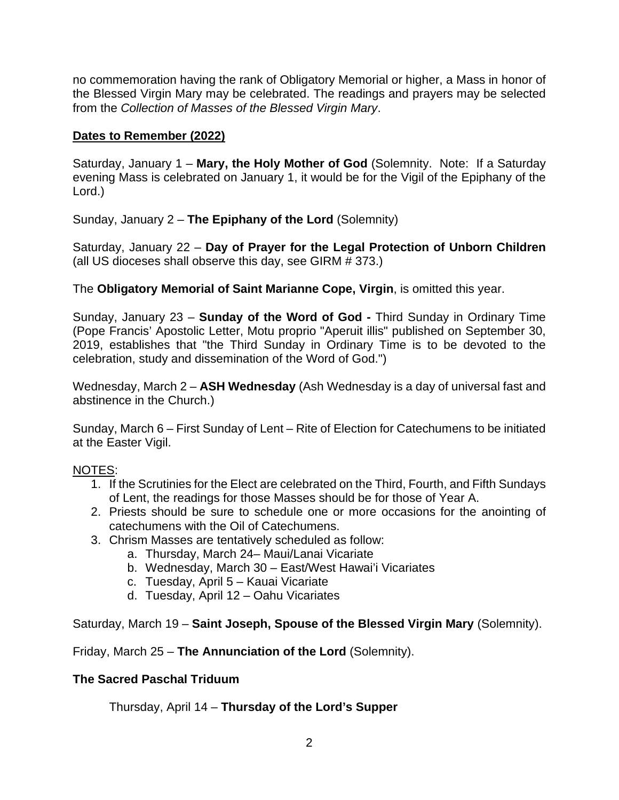no commemoration having the rank of Obligatory Memorial or higher, a Mass in honor of the Blessed Virgin Mary may be celebrated. The readings and prayers may be selected from the *Collection of Masses of the Blessed Virgin Mary*.

## **Dates to Remember (2022)**

Saturday, January 1 – **Mary, the Holy Mother of God** (Solemnity. Note: If a Saturday evening Mass is celebrated on January 1, it would be for the Vigil of the Epiphany of the Lord.)

Sunday, January 2 – **The Epiphany of the Lord** (Solemnity)

Saturday, January 22 – **Day of Prayer for the Legal Protection of Unborn Children**  (all US dioceses shall observe this day, see GIRM # 373.)

The **Obligatory Memorial of Saint Marianne Cope, Virgin**, is omitted this year.

Sunday, January 23 – **Sunday of the Word of God -** Third Sunday in Ordinary Time (Pope Francis' Apostolic Letter, Motu proprio "Aperuit illis" published on September 30, 2019, establishes that "the Third Sunday in Ordinary Time is to be devoted to the celebration, study and dissemination of the Word of God.")

Wednesday, March 2 – **ASH Wednesday** (Ash Wednesday is a day of universal fast and abstinence in the Church.)

Sunday, March 6 – First Sunday of Lent – Rite of Election for Catechumens to be initiated at the Easter Vigil.

# NOTES:

- 1. If the Scrutinies for the Elect are celebrated on the Third, Fourth, and Fifth Sundays of Lent, the readings for those Masses should be for those of Year A.
- 2. Priests should be sure to schedule one or more occasions for the anointing of catechumens with the Oil of Catechumens.
- 3. Chrism Masses are tentatively scheduled as follow:
	- a. Thursday, March 24– Maui/Lanai Vicariate
	- b. Wednesday, March 30 East/West Hawai'i Vicariates
	- c. Tuesday, April 5 Kauai Vicariate
	- d. Tuesday, April 12 Oahu Vicariates

Saturday, March 19 – **Saint Joseph, Spouse of the Blessed Virgin Mary** (Solemnity).

Friday, March 25 – **The Annunciation of the Lord** (Solemnity).

### **The Sacred Paschal Triduum**

Thursday, April 14 – **Thursday of the Lord's Supper**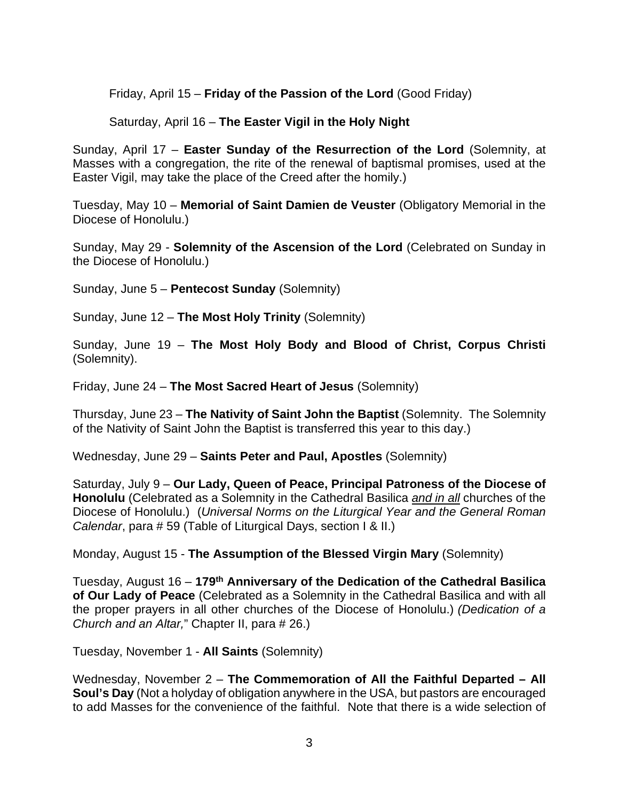Friday, April 15 – **Friday of the Passion of the Lord** (Good Friday)

Saturday, April 16 – **The Easter Vigil in the Holy Night**

Sunday, April 17 – **Easter Sunday of the Resurrection of the Lord** (Solemnity, at Masses with a congregation, the rite of the renewal of baptismal promises, used at the Easter Vigil, may take the place of the Creed after the homily.)

Tuesday, May 10 – **Memorial of Saint Damien de Veuster** (Obligatory Memorial in the Diocese of Honolulu.)

Sunday, May 29 - **Solemnity of the Ascension of the Lord** (Celebrated on Sunday in the Diocese of Honolulu.)

Sunday, June 5 – **Pentecost Sunday** (Solemnity)

Sunday, June 12 – **The Most Holy Trinity** (Solemnity)

Sunday, June 19 – **The Most Holy Body and Blood of Christ, Corpus Christi**  (Solemnity).

Friday, June 24 – **The Most Sacred Heart of Jesus** (Solemnity)

Thursday, June 23 – **The Nativity of Saint John the Baptist** (Solemnity. The Solemnity of the Nativity of Saint John the Baptist is transferred this year to this day.)

Wednesday, June 29 – **Saints Peter and Paul, Apostles** (Solemnity)

Saturday, July 9 – **Our Lady, Queen of Peace, Principal Patroness of the Diocese of Honolulu** (Celebrated as a Solemnity in the Cathedral Basilica *and in all* churches of the Diocese of Honolulu.) (*Universal Norms on the Liturgical Year and the General Roman Calendar*, para # 59 (Table of Liturgical Days, section I & II.)

Monday, August 15 - **The Assumption of the Blessed Virgin Mary** (Solemnity)

Tuesday, August 16 – **179th Anniversary of the Dedication of the Cathedral Basilica of Our Lady of Peace** (Celebrated as a Solemnity in the Cathedral Basilica and with all the proper prayers in all other churches of the Diocese of Honolulu.) *(Dedication of a Church and an Altar,*" Chapter II, para # 26.)

Tuesday, November 1 - **All Saints** (Solemnity)

Wednesday, November 2 – **The Commemoration of All the Faithful Departed – All Soul's Day** (Not a holyday of obligation anywhere in the USA, but pastors are encouraged to add Masses for the convenience of the faithful. Note that there is a wide selection of